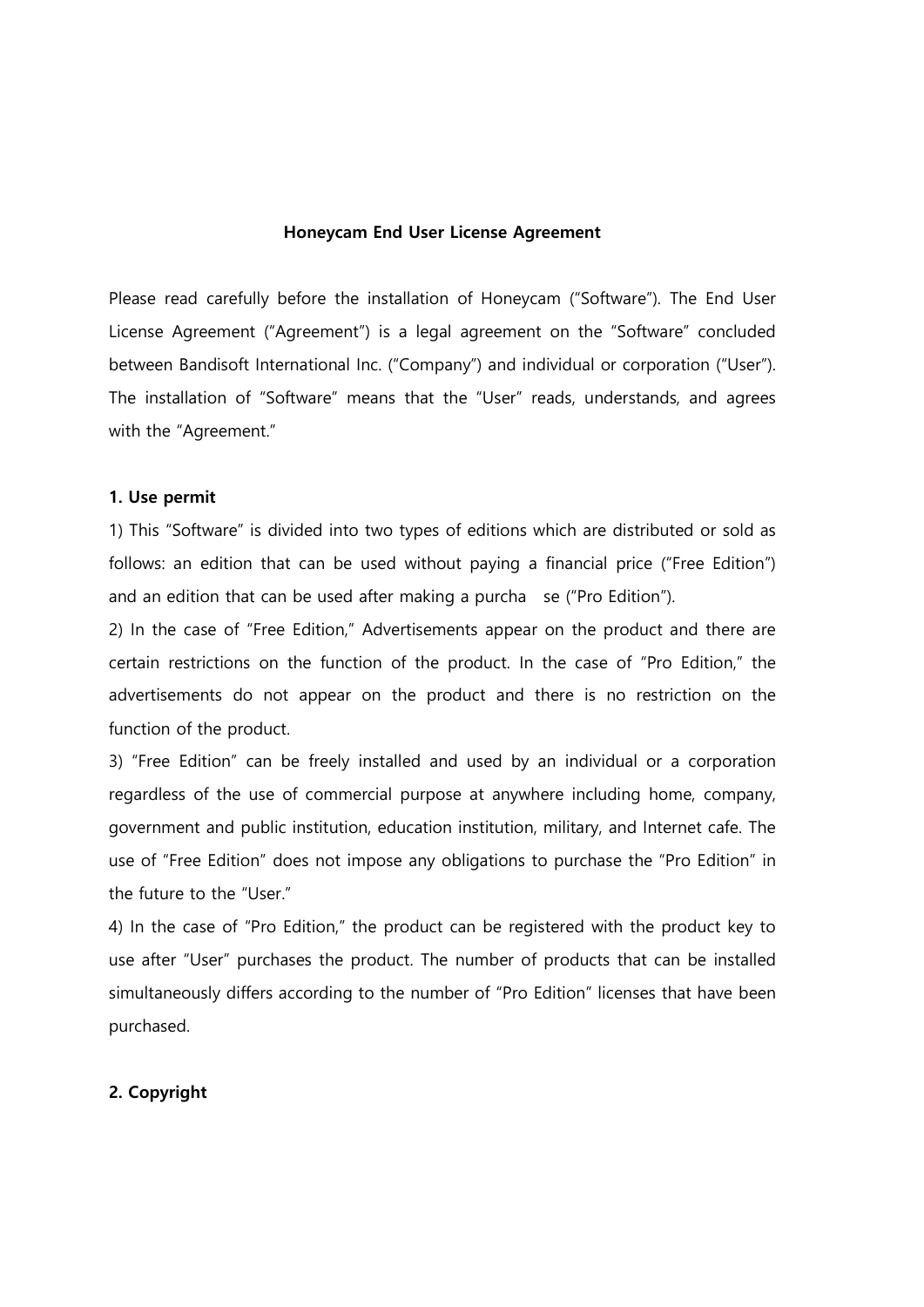### Honeycam End User License Agreement

Please read carefully before the installation of Honeycam ("Software"). The End User License Agreement ("Agreement") is a legal agreement on the "Software" concluded between Bandisoft International Inc. ("Company") and individual or corporation ("User"). The installation of "Software" means that the "User" reads, understands, and agrees with the "Agreement."

#### 1. Use permit

1) This "Software" is divided into two types of editions which are distributed or sold as follows: an edition that can be used without paying a financial price ("Free Edition") and an edition that can be used after making a purcha se ("Pro Edition").

2) In the case of "Free Edition," Advertisements appear on the product and there are certain restrictions on the function of the product. In the case of "Pro Edition," the advertisements do not appear on the product and there is no restriction on the function of the product.

3) "Free Edition" can be freely installed and used by an individual or a corporation regardless of the use of commercial purpose at anywhere including home, company, government and public institution, education institution, military, and Internet cafe. The use of "Free Edition" does not impose any obligations to purchase the "Pro Edition" in the future to the "User."

4) In the case of "Pro Edition," the product can be registered with the product key to use after "User" purchases the product. The number of products that can be installed simultaneously differs according to the number of "Pro Edition" licenses that have been purchased.

### 2. Copyright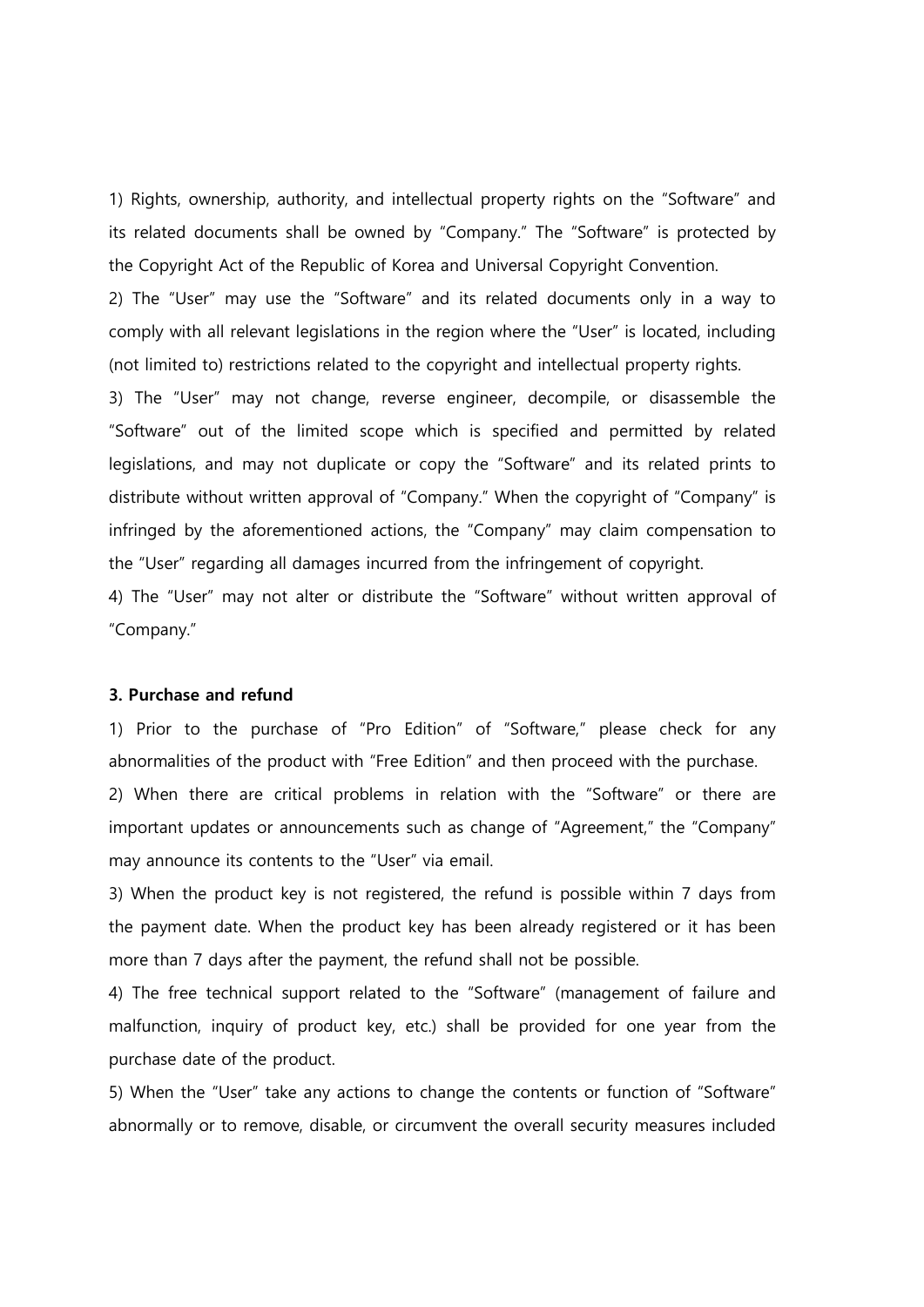1) Rights, ownership, authority, and intellectual property rights on the "Software" and its related documents shall be owned by "Company." The "Software" is protected by the Copyright Act of the Republic of Korea and Universal Copyright Convention.

2) The "User" may use the "Software" and its related documents only in a way to comply with all relevant legislations in the region where the "User" is located, including (not limited to) restrictions related to the copyright and intellectual property rights.

3) The "User" may not change, reverse engineer, decompile, or disassemble the "Software" out of the limited scope which is specified and permitted by related legislations, and may not duplicate or copy the "Software" and its related prints to distribute without written approval of "Company." When the copyright of "Company" is infringed by the aforementioned actions, the "Company" may claim compensation to the "User" regarding all damages incurred from the infringement of copyright.

4) The "User" may not alter or distribute the "Software" without written approval of "Company."

### 3. Purchase and refund

1) Prior to the purchase of "Pro Edition" of "Software," please check for any abnormalities of the product with "Free Edition" and then proceed with the purchase.

2) When there are critical problems in relation with the "Software" or there are important updates or announcements such as change of "Agreement," the "Company" may announce its contents to the "User" via email.

3) When the product key is not registered, the refund is possible within 7 days from the payment date. When the product key has been already registered or it has been more than 7 days after the payment, the refund shall not be possible.

4) The free technical support related to the "Software" (management of failure and malfunction, inquiry of product key, etc.) shall be provided for one year from the purchase date of the product.

5) When the "User" take any actions to change the contents or function of "Software" abnormally or to remove, disable, or circumvent the overall security measures included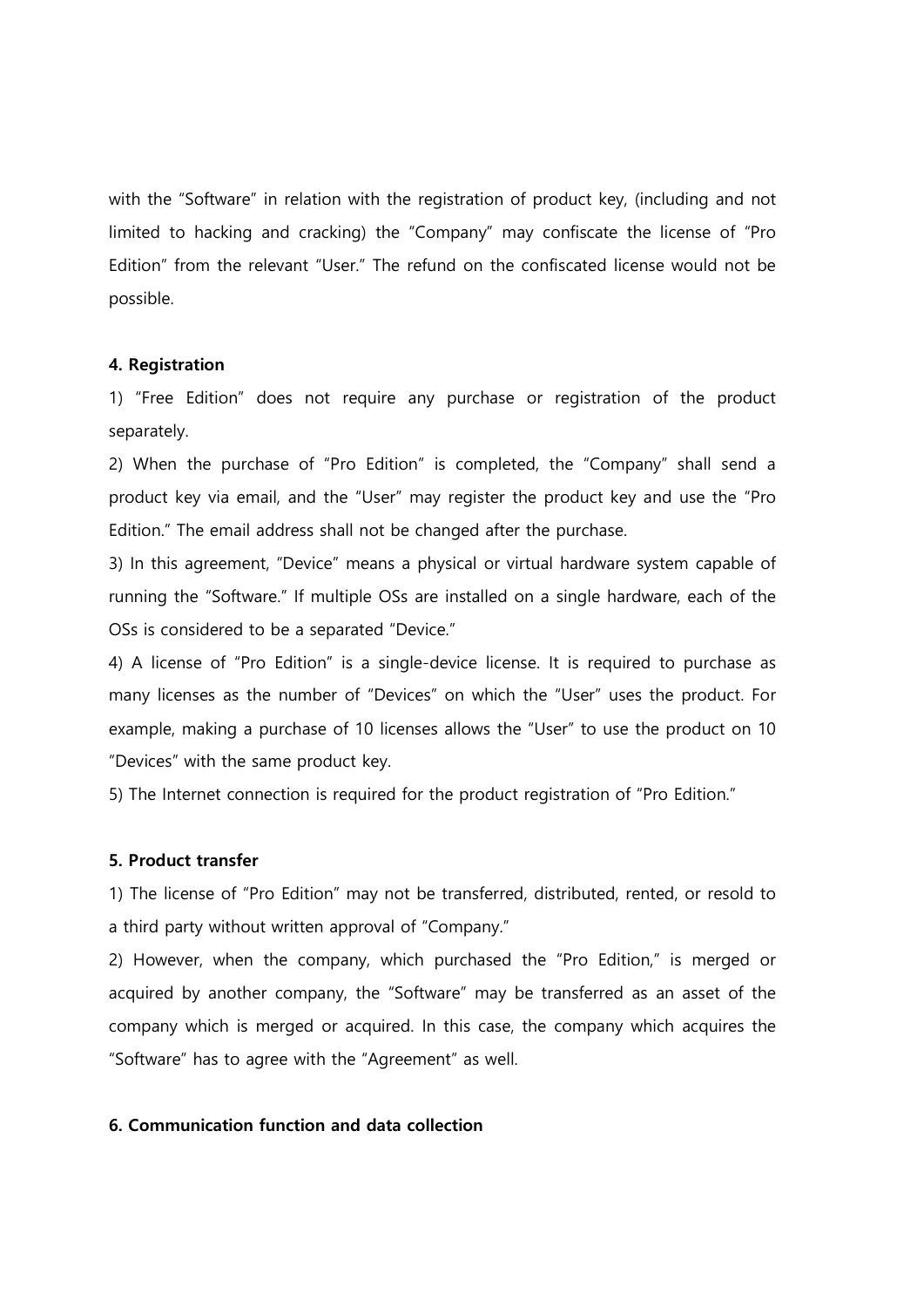with the "Software" in relation with the registration of product key, (including and not limited to hacking and cracking) the "Company" may confiscate the license of "Pro Edition" from the relevant "User." The refund on the confiscated license would not be possible.

### 4. Registration

1) "Free Edition" does not require any purchase or registration of the product separately.

2) When the purchase of "Pro Edition" is completed, the "Company" shall send a product key via email, and the "User" may register the product key and use the "Pro Edition." The email address shall not be changed after the purchase.

3) In this agreement, "Device" means a physical or virtual hardware system capable of running the "Software." If multiple OSs are installed on a single hardware, each of the OSs is considered to be a separated "Device."

4) A license of "Pro Edition" is a single-device license. It is required to purchase as many licenses as the number of "Devices" on which the "User" uses the product. For example, making a purchase of 10 licenses allows the "User" to use the product on 10 "Devices" with the same product key.

5) The Internet connection is required for the product registration of "Pro Edition."

# 5. Product transfer

1) The license of "Pro Edition" may not be transferred, distributed, rented, or resold to a third party without written approval of "Company."

2) However, when the company, which purchased the "Pro Edition," is merged or acquired by another company, the "Software" may be transferred as an asset of the company which is merged or acquired. In this case, the company which acquires the "Software" has to agree with the "Agreement" as well.

# 6. Communication function and data collection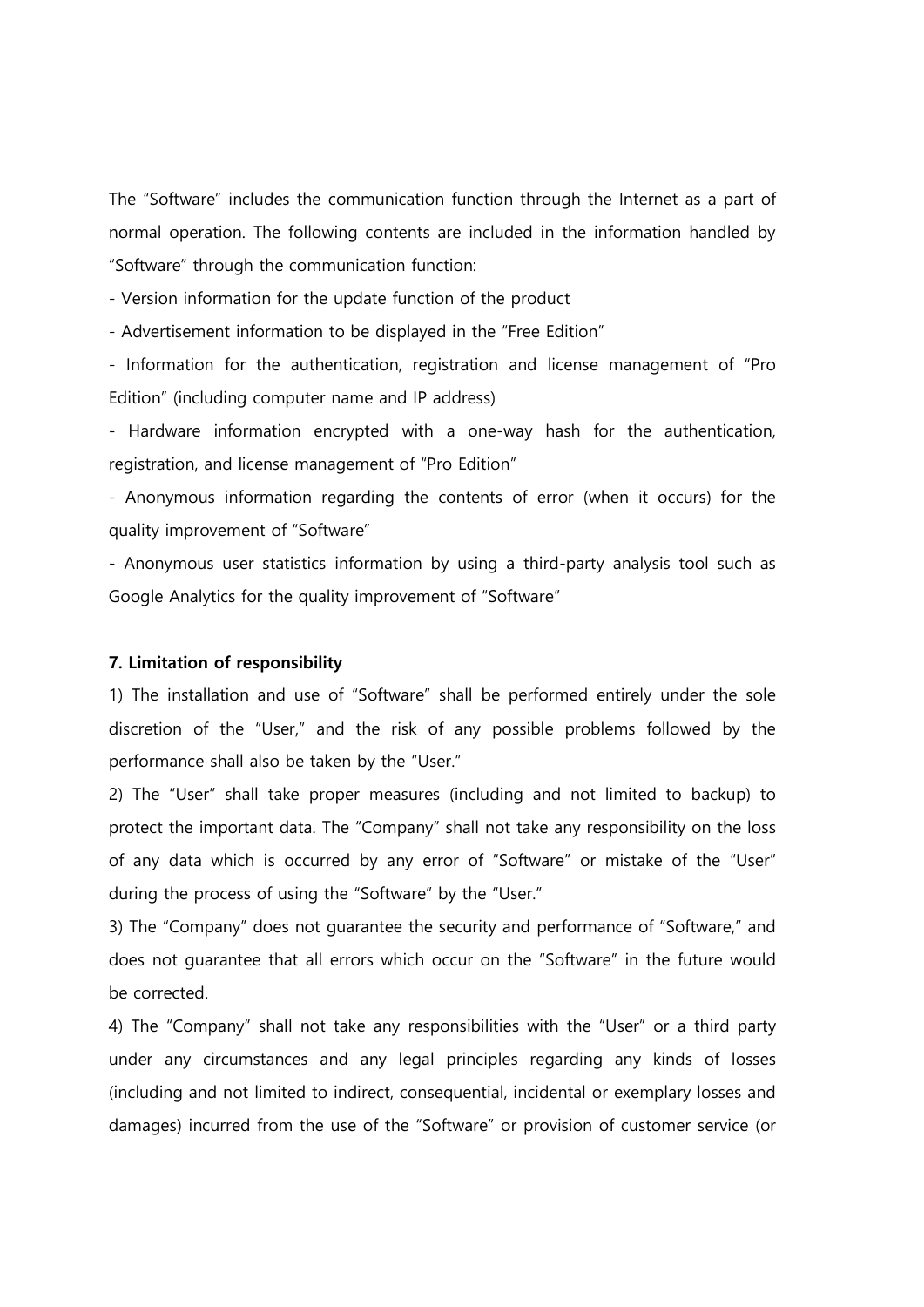The "Software" includes the communication function through the Internet as a part of normal operation. The following contents are included in the information handled by "Software" through the communication function:

- Version information for the update function of the product

- Advertisement information to be displayed in the "Free Edition"

- Information for the authentication, registration and license management of "Pro Edition" (including computer name and IP address)

- Hardware information encrypted with a one-way hash for the authentication, registration, and license management of "Pro Edition"

- Anonymous information regarding the contents of error (when it occurs) for the quality improvement of "Software"

- Anonymous user statistics information by using a third-party analysis tool such as Google Analytics for the quality improvement of "Software"

### 7. Limitation of responsibility

1) The installation and use of "Software" shall be performed entirely under the sole discretion of the "User," and the risk of any possible problems followed by the performance shall also be taken by the "User."

2) The "User" shall take proper measures (including and not limited to backup) to protect the important data. The "Company" shall not take any responsibility on the loss of any data which is occurred by any error of "Software" or mistake of the "User" during the process of using the "Software" by the "User."

3) The "Company" does not guarantee the security and performance of "Software," and does not guarantee that all errors which occur on the "Software" in the future would be corrected.

4) The "Company" shall not take any responsibilities with the "User" or a third party under any circumstances and any legal principles regarding any kinds of losses (including and not limited to indirect, consequential, incidental or exemplary losses and damages) incurred from the use of the "Software" or provision of customer service (or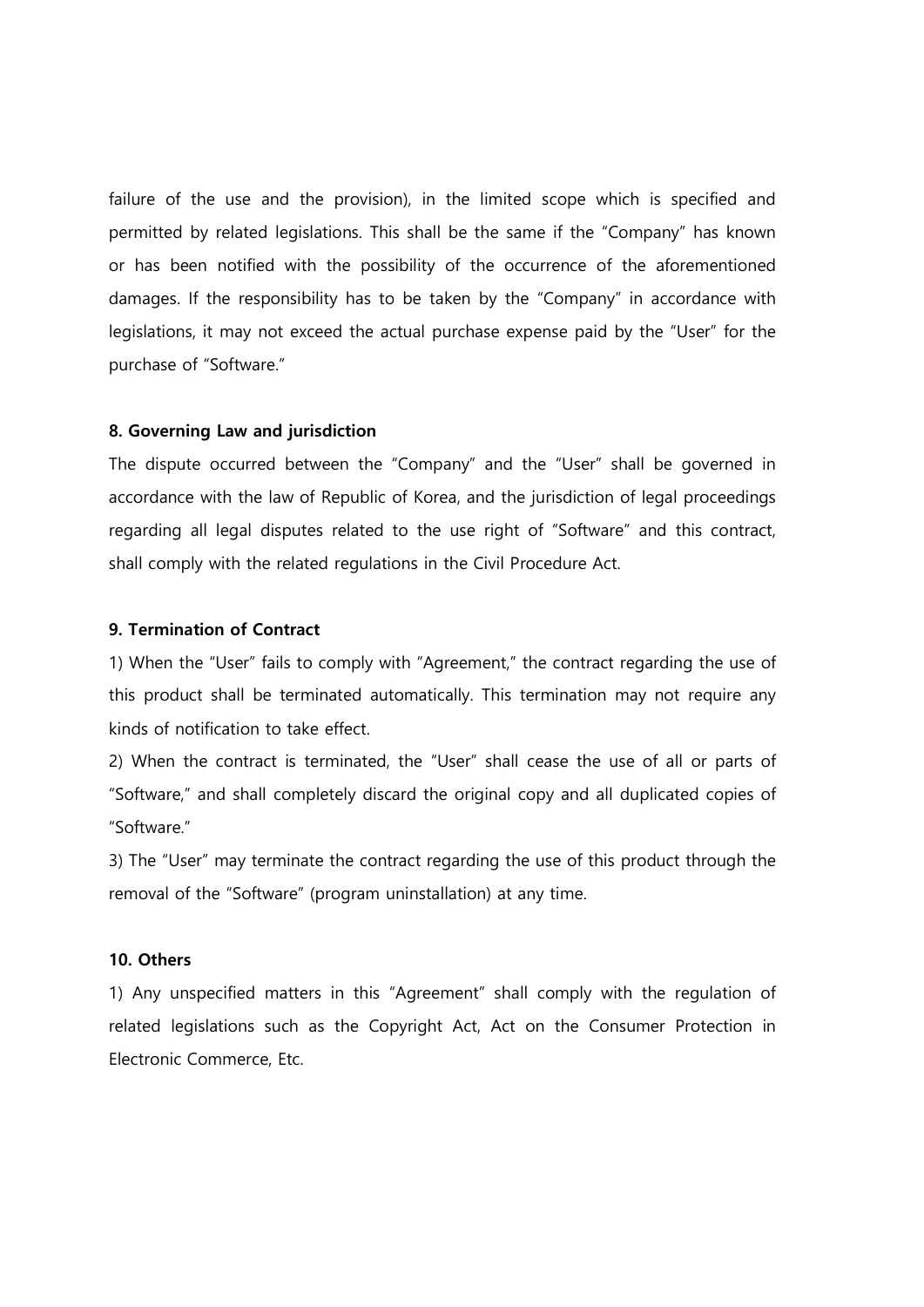failure of the use and the provision), in the limited scope which is specified and permitted by related legislations. This shall be the same if the "Company" has known or has been notified with the possibility of the occurrence of the aforementioned damages. If the responsibility has to be taken by the "Company" in accordance with legislations, it may not exceed the actual purchase expense paid by the "User" for the purchase of "Software."

### 8. Governing Law and jurisdiction

The dispute occurred between the "Company" and the "User" shall be governed in accordance with the law of Republic of Korea, and the jurisdiction of legal proceedings regarding all legal disputes related to the use right of "Software" and this contract, shall comply with the related regulations in the Civil Procedure Act.

## 9. Termination of Contract

1) When the "User" fails to comply with "Agreement," the contract regarding the use of this product shall be terminated automatically. This termination may not require any kinds of notification to take effect.

2) When the contract is terminated, the "User" shall cease the use of all or parts of "Software," and shall completely discard the original copy and all duplicated copies of "Software."

3) The "User" may terminate the contract regarding the use of this product through the removal of the "Software" (program uninstallation) at any time.

# 10. Others

1) Any unspecified matters in this "Agreement" shall comply with the regulation of related legislations such as the Copyright Act, Act on the Consumer Protection in Electronic Commerce, Etc.